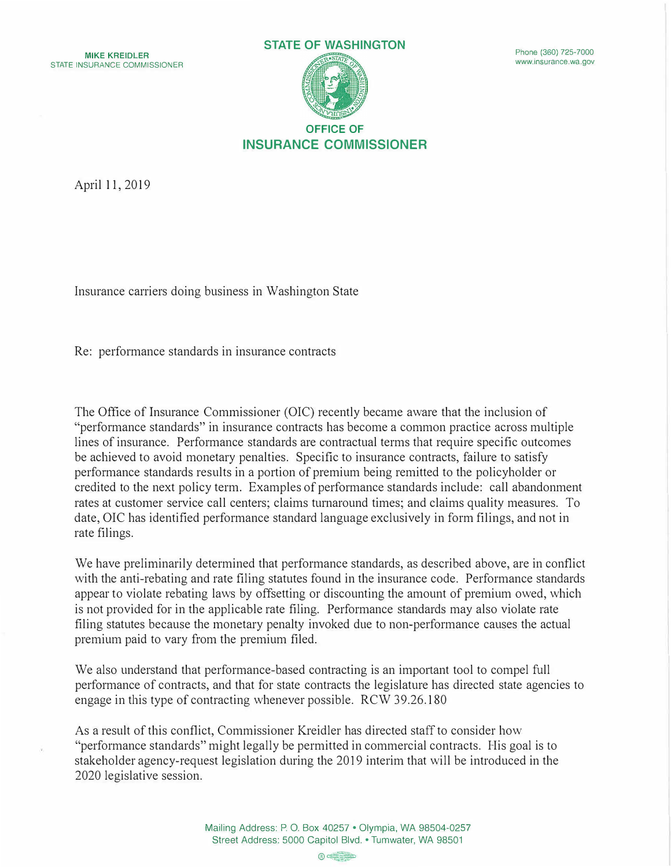

April 11, 2019

Insurance carriers doing business in Washington State

Re: performance standards in insurance contracts

The Office of Insurance Commissioner (OIC) recently became aware that the inclusion of "performance standards" in insurance contracts has become a common practice across multiple lines of insurance. Performance standards are contractual terms that require specific outcomes be achieved to avoid monetary penalties. Specific to insurance contracts, failure to satisfy performance standards results in a portion of premium being remitted to the policyholder or credited to the next policy term. Examples of performance standards include: call abandonment rates at customer service call centers; claims turnaround times; and claims quality measures. To date, OIC has identified performance standard language exclusively in form filings, and not in rate filings.

We have preliminarily determined that performance standards, as described above, are in conflict with the anti-rebating and rate filing statutes found in the insurance code. Performance standards appear to violate rebating laws by offsetting or discounting the amount of premium owed, which is not provided for in the applicable rate filing. Performance standards may also violate rate filing statutes because the monetary penalty invoked due to non-performance causes the actual premium paid to vary from the premium filed.

We also understand that performance-based contracting is an important tool to compel full performance of contracts, and that for state contracts the legislature has directed state agencies to engage in this type of contracting whenever possible. RCW 39.26.180

As a result of this conflict, Commissioner Kreidler has directed staff to consider how "performance standards" might legally be permitted in commercial contracts. His goal is to stakeholder agency-request legislation during the 2019 interim that will be introduced in the 2020 legislative session.